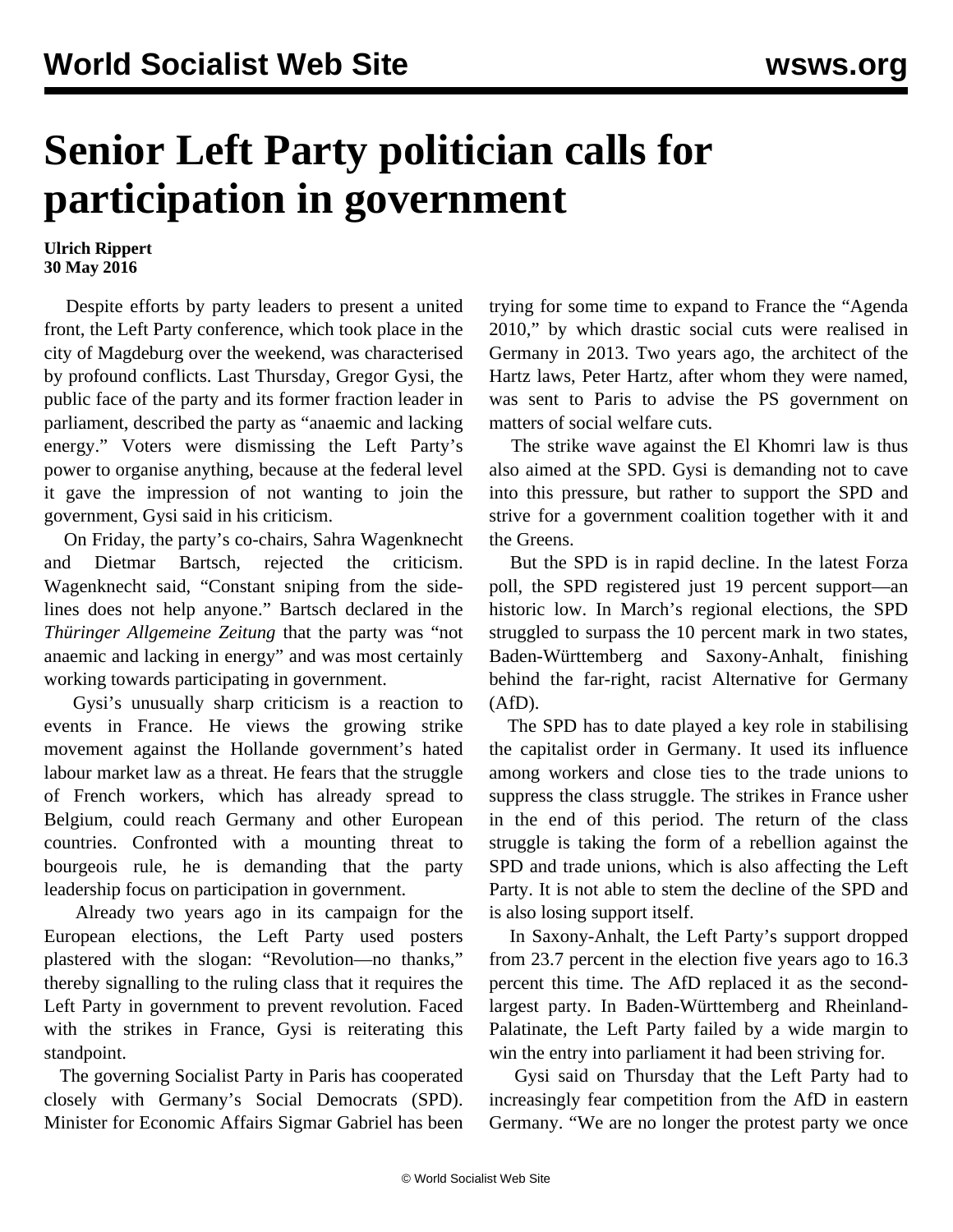## **Senior Left Party politician calls for participation in government**

## **Ulrich Rippert 30 May 2016**

 Despite efforts by party leaders to present a united front, the Left Party conference, which took place in the city of Magdeburg over the weekend, was characterised by profound conflicts. Last Thursday, Gregor Gysi, the public face of the party and its former fraction leader in parliament, described the party as "anaemic and lacking energy." Voters were dismissing the Left Party's power to organise anything, because at the federal level it gave the impression of not wanting to join the government, Gysi said in his criticism.

 On Friday, the party's co-chairs, Sahra Wagenknecht and Dietmar Bartsch, rejected the criticism. Wagenknecht said, "Constant sniping from the sidelines does not help anyone." Bartsch declared in the *Thüringer Allgemeine Zeitung* that the party was "not anaemic and lacking in energy" and was most certainly working towards participating in government.

 Gysi's unusually sharp criticism is a reaction to events in France. He views the growing strike movement against the Hollande government's hated labour market law as a threat. He fears that the struggle of French workers, which has already spread to Belgium, could reach Germany and other European countries. Confronted with a mounting threat to bourgeois rule, he is demanding that the party leadership focus on participation in government.

 Already two years ago in its campaign for the European elections, the Left Party used posters plastered with the slogan: "Revolution—no thanks," thereby signalling to the ruling class that it requires the Left Party in government to prevent revolution. Faced with the strikes in France, Gysi is reiterating this standpoint.

 The governing Socialist Party in Paris has cooperated closely with Germany's Social Democrats (SPD). Minister for Economic Affairs Sigmar Gabriel has been trying for some time to expand to France the "Agenda 2010," by which drastic social cuts were realised in Germany in 2013. Two years ago, the architect of the Hartz laws, Peter Hartz, after whom they were named, was sent to Paris to advise the PS government on matters of social welfare cuts.

 The strike wave against the El Khomri law is thus also aimed at the SPD. Gysi is demanding not to cave into this pressure, but rather to support the SPD and strive for a government coalition together with it and the Greens.

 But the SPD is in rapid decline. In the latest Forza poll, the SPD registered just 19 percent support—an historic low. In March's regional elections, the SPD struggled to surpass the 10 percent mark in two states, Baden-Württemberg and Saxony-Anhalt, finishing behind the far-right, racist Alternative for Germany (AfD).

 The SPD has to date played a key role in stabilising the capitalist order in Germany. It used its influence among workers and close ties to the trade unions to suppress the class struggle. The strikes in France usher in the end of this period. The return of the class struggle is taking the form of a rebellion against the SPD and trade unions, which is also affecting the Left Party. It is not able to stem the decline of the SPD and is also losing support itself.

 In Saxony-Anhalt, the Left Party's support dropped from 23.7 percent in the election five years ago to 16.3 percent this time. The AfD replaced it as the secondlargest party. In Baden-Württemberg and Rheinland-Palatinate, the Left Party failed by a wide margin to win the entry into parliament it had been striving for.

 Gysi said on Thursday that the Left Party had to increasingly fear competition from the AfD in eastern Germany. "We are no longer the protest party we once